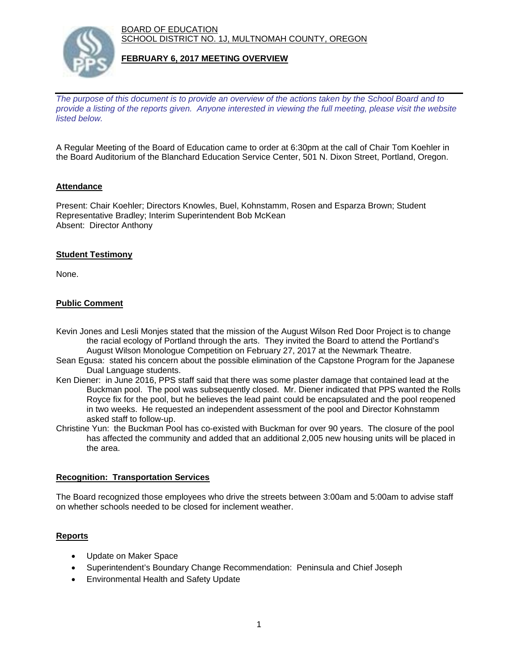BOARD OF EDUCATION SCHOOL DISTRICT NO. 1J, MULTNOMAH COUNTY, OREGON



### **FEBRUARY 6, 2017 MEETING OVERVIEW**

*The purpose of this document is to provide an overview of the actions taken by the School Board and to provide a listing of the reports given. Anyone interested in viewing the full meeting, please visit the website listed below.*

A Regular Meeting of the Board of Education came to order at 6:30pm at the call of Chair Tom Koehler in the Board Auditorium of the Blanchard Education Service Center, 501 N. Dixon Street, Portland, Oregon.

## **Attendance**

Present: Chair Koehler; Directors Knowles, Buel, Kohnstamm, Rosen and Esparza Brown; Student Representative Bradley; Interim Superintendent Bob McKean Absent: Director Anthony

### **Student Testimony**

None.

## **Public Comment**

- Kevin Jones and Lesli Monjes stated that the mission of the August Wilson Red Door Project is to change the racial ecology of Portland through the arts. They invited the Board to attend the Portland's August Wilson Monologue Competition on February 27, 2017 at the Newmark Theatre.
- Sean Egusa: stated his concern about the possible elimination of the Capstone Program for the Japanese Dual Language students.
- Ken Diener: in June 2016, PPS staff said that there was some plaster damage that contained lead at the Buckman pool. The pool was subsequently closed. Mr. Diener indicated that PPS wanted the Rolls Royce fix for the pool, but he believes the lead paint could be encapsulated and the pool reopened in two weeks. He requested an independent assessment of the pool and Director Kohnstamm asked staff to follow-up.
- Christine Yun: the Buckman Pool has co-existed with Buckman for over 90 years. The closure of the pool has affected the community and added that an additional 2,005 new housing units will be placed in the area.

#### **Recognition: Transportation Services**

The Board recognized those employees who drive the streets between 3:00am and 5:00am to advise staff on whether schools needed to be closed for inclement weather.

#### **Reports**

- Update on Maker Space
- Superintendent's Boundary Change Recommendation: Peninsula and Chief Joseph
- Environmental Health and Safety Update